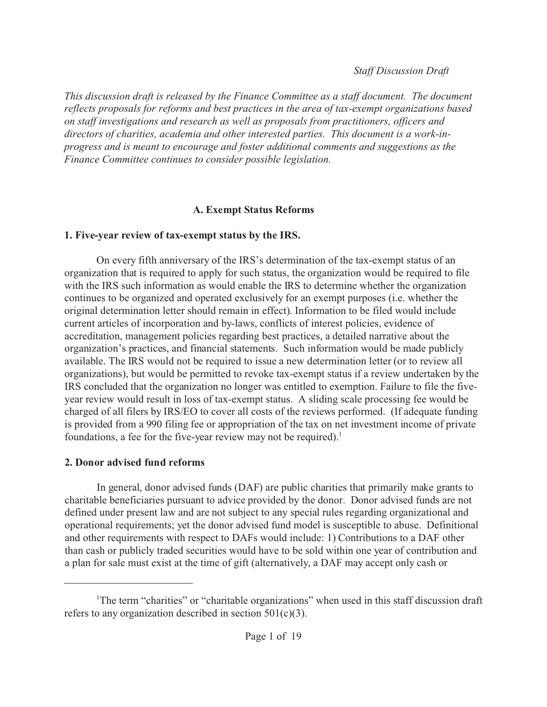*Staff Discussion Draft*

*This discussion draft is released by the Finance Committee as a staff document. The document reflects proposals for reforms and best practices in the area of tax-exempt organizations based on staff investigations and research as well as proposals from practitioners, officers and directors of charities, academia and other interested parties. This document is a work-inprogress and is meant to encourage and foster additional comments and suggestions as the Finance Committee continues to consider possible legislation.*

### **A. Exempt Status Reforms**

### **1. Five-year review of tax-exempt status by the IRS.**

On every fifth anniversary of the IRS's determination of the tax-exempt status of an organization that is required to apply for such status, the organization would be required to file with the IRS such information as would enable the IRS to determine whether the organization continues to be organized and operated exclusively for an exempt purposes (i.e. whether the original determination letter should remain in effect). Information to be filed would include current articles of incorporation and by-laws, conflicts of interest policies, evidence of accreditation, management policies regarding best practices, a detailed narrative about the organization's practices, and financial statements. Such information would be made publicly available. The IRS would not be required to issue a new determination letter (or to review all organizations), but would be permitted to revoke tax-exempt status if a review undertaken by the IRS concluded that the organization no longer was entitled to exemption. Failure to file the fiveyear review would result in loss of tax-exempt status. A sliding scale processing fee would be charged of all filers by IRS/EO to cover all costs of the reviews performed. (If adequate funding is provided from a 990 filing fee or appropriation of the tax on net investment income of private foundations, a fee for the five-year review may not be required).<sup>1</sup>

### **2. Donor advised fund reforms**

In general, donor advised funds (DAF) are public charities that primarily make grants to charitable beneficiaries pursuant to advice provided by the donor. Donor advised funds are not defined under present law and are not subject to any special rules regarding organizational and operational requirements; yet the donor advised fund model is susceptible to abuse. Definitional and other requirements with respect to DAFs would include: 1) Contributions to a DAF other than cash or publicly traded securities would have to be sold within one year of contribution and a plan for sale must exist at the time of gift (alternatively, a DAF may accept only cash or

<sup>&</sup>lt;sup>1</sup>The term "charities" or "charitable organizations" when used in this staff discussion draft refers to any organization described in section  $501(c)(3)$ .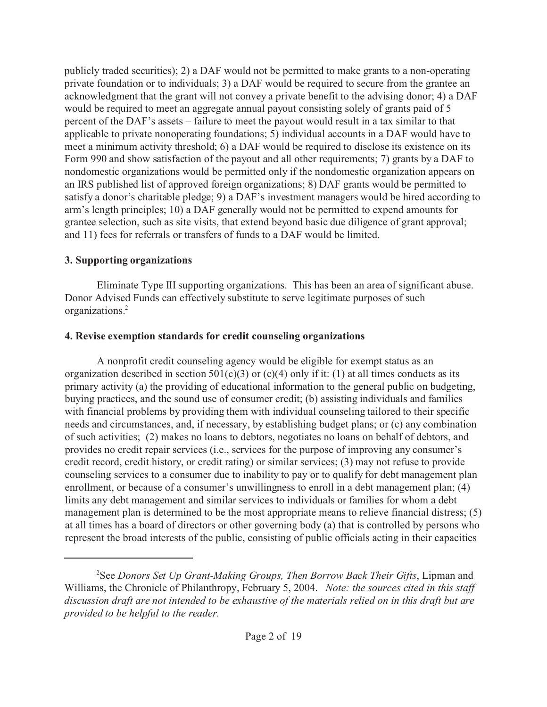publicly traded securities); 2) a DAF would not be permitted to make grants to a non-operating private foundation or to individuals; 3) a DAF would be required to secure from the grantee an acknowledgment that the grant will not convey a private benefit to the advising donor; 4) a DAF would be required to meet an aggregate annual payout consisting solely of grants paid of 5 percent of the DAF's assets – failure to meet the payout would result in a tax similar to that applicable to private nonoperating foundations; 5) individual accounts in a DAF would have to meet a minimum activity threshold; 6) a DAF would be required to disclose its existence on its Form 990 and show satisfaction of the payout and all other requirements; 7) grants by a DAF to nondomestic organizations would be permitted only if the nondomestic organization appears on an IRS published list of approved foreign organizations; 8) DAF grants would be permitted to satisfy a donor's charitable pledge; 9) a DAF's investment managers would be hired according to arm's length principles; 10) a DAF generally would not be permitted to expend amounts for grantee selection, such as site visits, that extend beyond basic due diligence of grant approval; and 11) fees for referrals or transfers of funds to a DAF would be limited.

#### **3. Supporting organizations**

Eliminate Type III supporting organizations. This has been an area of significant abuse. Donor Advised Funds can effectively substitute to serve legitimate purposes of such organizations.2

### **4. Revise exemption standards for credit counseling organizations**

A nonprofit credit counseling agency would be eligible for exempt status as an organization described in section  $501(c)(3)$  or  $(c)(4)$  only if it: (1) at all times conducts as its primary activity (a) the providing of educational information to the general public on budgeting, buying practices, and the sound use of consumer credit; (b) assisting individuals and families with financial problems by providing them with individual counseling tailored to their specific needs and circumstances, and, if necessary, by establishing budget plans; or (c) any combination of such activities; (2) makes no loans to debtors, negotiates no loans on behalf of debtors, and provides no credit repair services (i.e., services for the purpose of improving any consumer's credit record, credit history, or credit rating) or similar services; (3) may not refuse to provide counseling services to a consumer due to inability to pay or to qualify for debt management plan enrollment, or because of a consumer's unwillingness to enroll in a debt management plan; (4) limits any debt management and similar services to individuals or families for whom a debt management plan is determined to be the most appropriate means to relieve financial distress; (5) at all times has a board of directors or other governing body (a) that is controlled by persons who represent the broad interests of the public, consisting of public officials acting in their capacities

<sup>2</sup> See *Donors Set Up Grant-Making Groups, Then Borrow Back Their Gifts*, Lipman and Williams, the Chronicle of Philanthropy, February 5, 2004. *Note: the sources cited in this staff discussion draft are not intended to be exhaustive of the materials relied on in this draft but are provided to be helpful to the reader.*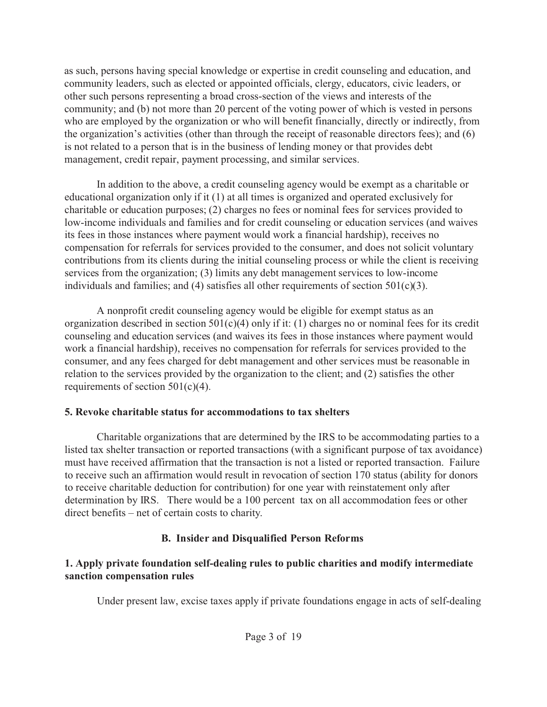as such, persons having special knowledge or expertise in credit counseling and education, and community leaders, such as elected or appointed officials, clergy, educators, civic leaders, or other such persons representing a broad cross-section of the views and interests of the community; and (b) not more than 20 percent of the voting power of which is vested in persons who are employed by the organization or who will benefit financially, directly or indirectly, from the organization's activities (other than through the receipt of reasonable directors fees); and (6) is not related to a person that is in the business of lending money or that provides debt management, credit repair, payment processing, and similar services.

In addition to the above, a credit counseling agency would be exempt as a charitable or educational organization only if it (1) at all times is organized and operated exclusively for charitable or education purposes; (2) charges no fees or nominal fees for services provided to low-income individuals and families and for credit counseling or education services (and waives its fees in those instances where payment would work a financial hardship), receives no compensation for referrals for services provided to the consumer, and does not solicit voluntary contributions from its clients during the initial counseling process or while the client is receiving services from the organization; (3) limits any debt management services to low-income individuals and families; and (4) satisfies all other requirements of section  $501(c)(3)$ .

A nonprofit credit counseling agency would be eligible for exempt status as an organization described in section  $501(c)(4)$  only if it: (1) charges no or nominal fees for its credit counseling and education services (and waives its fees in those instances where payment would work a financial hardship), receives no compensation for referrals for services provided to the consumer, and any fees charged for debt management and other services must be reasonable in relation to the services provided by the organization to the client; and (2) satisfies the other requirements of section  $501(c)(4)$ .

### **5. Revoke charitable status for accommodations to tax shelters**

Charitable organizations that are determined by the IRS to be accommodating parties to a listed tax shelter transaction or reported transactions (with a significant purpose of tax avoidance) must have received affirmation that the transaction is not a listed or reported transaction. Failure to receive such an affirmation would result in revocation of section 170 status (ability for donors to receive charitable deduction for contribution) for one year with reinstatement only after determination by IRS. There would be a 100 percent tax on all accommodation fees or other direct benefits – net of certain costs to charity.

## **B. Insider and Disqualified Person Reforms**

### **1. Apply private foundation self-dealing rules to public charities and modify intermediate sanction compensation rules**

Under present law, excise taxes apply if private foundations engage in acts of self-dealing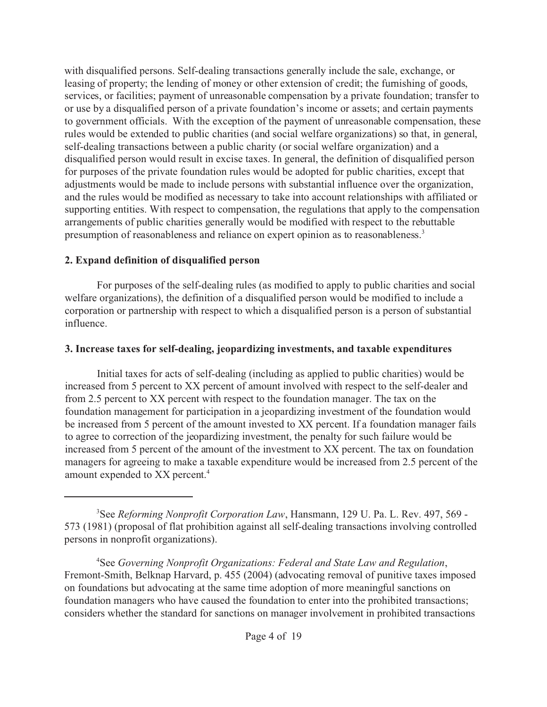with disqualified persons. Self-dealing transactions generally include the sale, exchange, or leasing of property; the lending of money or other extension of credit; the furnishing of goods, services, or facilities; payment of unreasonable compensation by a private foundation; transfer to or use by a disqualified person of a private foundation's income or assets; and certain payments to government officials. With the exception of the payment of unreasonable compensation, these rules would be extended to public charities (and social welfare organizations) so that, in general, self-dealing transactions between a public charity (or social welfare organization) and a disqualified person would result in excise taxes. In general, the definition of disqualified person for purposes of the private foundation rules would be adopted for public charities, except that adjustments would be made to include persons with substantial influence over the organization, and the rules would be modified as necessary to take into account relationships with affiliated or supporting entities. With respect to compensation, the regulations that apply to the compensation arrangements of public charities generally would be modified with respect to the rebuttable presumption of reasonableness and reliance on expert opinion as to reasonableness.3

#### **2. Expand definition of disqualified person**

For purposes of the self-dealing rules (as modified to apply to public charities and social welfare organizations), the definition of a disqualified person would be modified to include a corporation or partnership with respect to which a disqualified person is a person of substantial influence.

#### **3. Increase taxes for self-dealing, jeopardizing investments, and taxable expenditures**

Initial taxes for acts of self-dealing (including as applied to public charities) would be increased from 5 percent to XX percent of amount involved with respect to the self-dealer and from 2.5 percent to XX percent with respect to the foundation manager. The tax on the foundation management for participation in a jeopardizing investment of the foundation would be increased from 5 percent of the amount invested to XX percent. If a foundation manager fails to agree to correction of the jeopardizing investment, the penalty for such failure would be increased from 5 percent of the amount of the investment to XX percent. The tax on foundation managers for agreeing to make a taxable expenditure would be increased from 2.5 percent of the amount expended to XX percent.<sup>4</sup>

<sup>3</sup> See *Reforming Nonprofit Corporation Law*, Hansmann, 129 U. Pa. L. Rev. 497, 569 - 573 (1981) (proposal of flat prohibition against all self-dealing transactions involving controlled persons in nonprofit organizations).

<sup>4</sup> See *Governing Nonprofit Organizations: Federal and State Law and Regulation*, Fremont-Smith, Belknap Harvard, p. 455 (2004) (advocating removal of punitive taxes imposed on foundations but advocating at the same time adoption of more meaningful sanctions on foundation managers who have caused the foundation to enter into the prohibited transactions; considers whether the standard for sanctions on manager involvement in prohibited transactions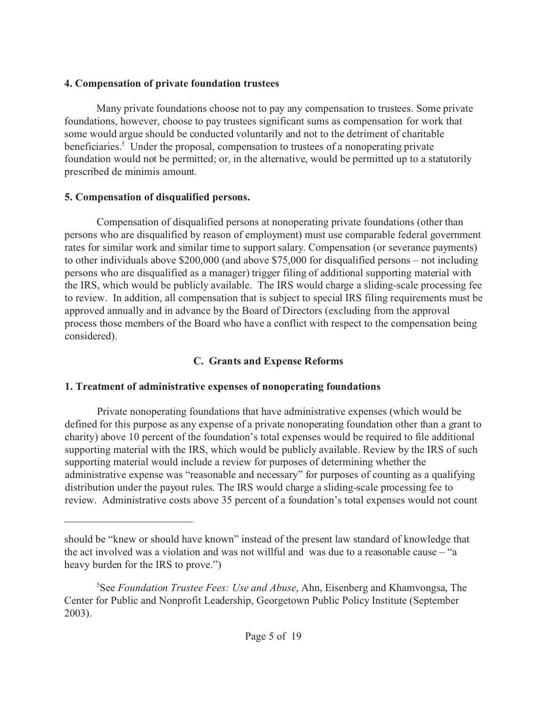#### **4. Compensation of private foundation trustees**

Many private foundations choose not to pay any compensation to trustees. Some private foundations, however, choose to pay trustees significant sums as compensation for work that some would argue should be conducted voluntarily and not to the detriment of charitable beneficiaries.<sup>5</sup> Under the proposal, compensation to trustees of a nonoperating private foundation would not be permitted; or, in the alternative, would be permitted up to a statutorily prescribed de minimis amount.

## **5. Compensation of disqualified persons.**

Compensation of disqualified persons at nonoperating private foundations (other than persons who are disqualified by reason of employment) must use comparable federal government rates for similar work and similar time to support salary. Compensation (or severance payments) to other individuals above \$200,000 (and above \$75,000 for disqualified persons – not including persons who are disqualified as a manager) trigger filing of additional supporting material with the IRS, which would be publicly available. The IRS would charge a sliding-scale processing fee to review. In addition, all compensation that is subject to special IRS filing requirements must be approved annually and in advance by the Board of Directors (excluding from the approval process those members of the Board who have a conflict with respect to the compensation being considered).

# **C. Grants and Expense Reforms**

## **1. Treatment of administrative expenses of nonoperating foundations**

Private nonoperating foundations that have administrative expenses (which would be defined for this purpose as any expense of a private nonoperating foundation other than a grant to charity) above 10 percent of the foundation's total expenses would be required to file additional supporting material with the IRS, which would be publicly available. Review by the IRS of such supporting material would include a review for purposes of determining whether the administrative expense was "reasonable and necessary" for purposes of counting as a qualifying distribution under the payout rules. The IRS would charge a sliding-scale processing fee to review. Administrative costs above 35 percent of a foundation's total expenses would not count

should be "knew or should have known" instead of the present law standard of knowledge that the act involved was a violation and was not willful and was due to a reasonable cause – "a heavy burden for the IRS to prove.")

<sup>5</sup> See *Foundation Trustee Fees: Use and Abuse*, Ahn, Eisenberg and Khamvongsa, The Center for Public and Nonprofit Leadership, Georgetown Public Policy Institute (September 2003).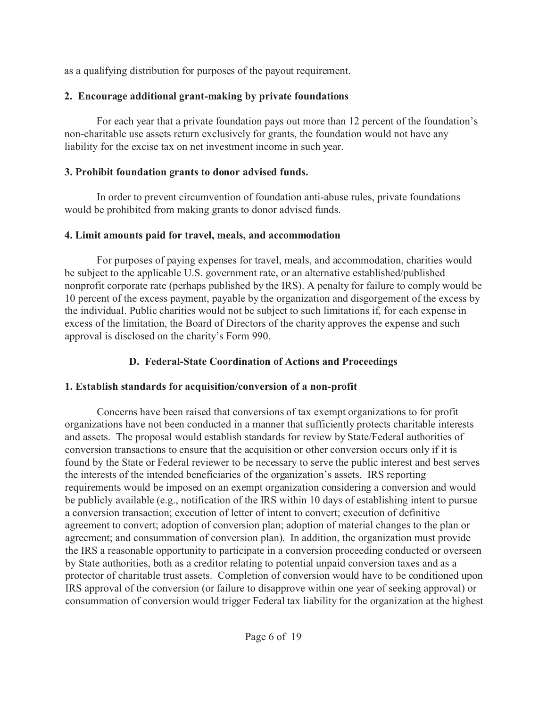as a qualifying distribution for purposes of the payout requirement.

### **2. Encourage additional grant-making by private foundations**

For each year that a private foundation pays out more than 12 percent of the foundation's non-charitable use assets return exclusively for grants, the foundation would not have any liability for the excise tax on net investment income in such year.

## **3. Prohibit foundation grants to donor advised funds.**

In order to prevent circumvention of foundation anti-abuse rules, private foundations would be prohibited from making grants to donor advised funds.

## **4. Limit amounts paid for travel, meals, and accommodation**

For purposes of paying expenses for travel, meals, and accommodation, charities would be subject to the applicable U.S. government rate, or an alternative established/published nonprofit corporate rate (perhaps published by the IRS). A penalty for failure to comply would be 10 percent of the excess payment, payable by the organization and disgorgement of the excess by the individual. Public charities would not be subject to such limitations if, for each expense in excess of the limitation, the Board of Directors of the charity approves the expense and such approval is disclosed on the charity's Form 990.

# **D. Federal-State Coordination of Actions and Proceedings**

# **1. Establish standards for acquisition/conversion of a non-profit**

Concerns have been raised that conversions of tax exempt organizations to for profit organizations have not been conducted in a manner that sufficiently protects charitable interests and assets. The proposal would establish standards for review by State/Federal authorities of conversion transactions to ensure that the acquisition or other conversion occurs only if it is found by the State or Federal reviewer to be necessary to serve the public interest and best serves the interests of the intended beneficiaries of the organization's assets. IRS reporting requirements would be imposed on an exempt organization considering a conversion and would be publicly available (e.g., notification of the IRS within 10 days of establishing intent to pursue a conversion transaction; execution of letter of intent to convert; execution of definitive agreement to convert; adoption of conversion plan; adoption of material changes to the plan or agreement; and consummation of conversion plan). In addition, the organization must provide the IRS a reasonable opportunity to participate in a conversion proceeding conducted or overseen by State authorities, both as a creditor relating to potential unpaid conversion taxes and as a protector of charitable trust assets. Completion of conversion would have to be conditioned upon IRS approval of the conversion (or failure to disapprove within one year of seeking approval) or consummation of conversion would trigger Federal tax liability for the organization at the highest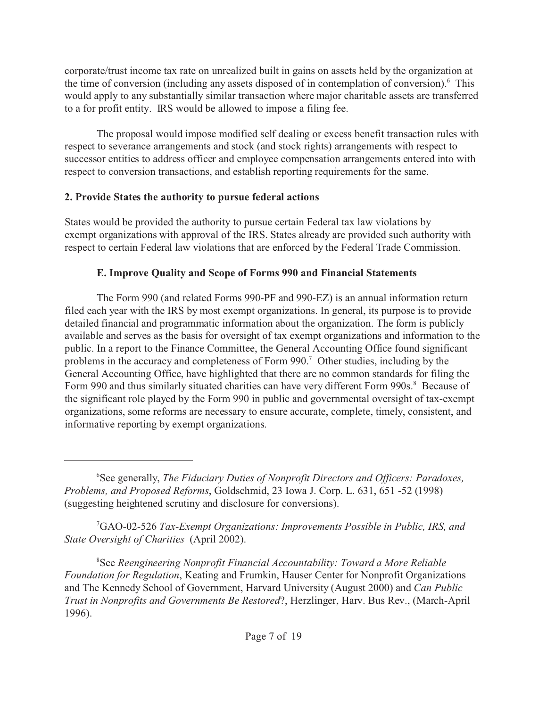corporate/trust income tax rate on unrealized built in gains on assets held by the organization at the time of conversion (including any assets disposed of in contemplation of conversion). <sup>6</sup> This would apply to any substantially similar transaction where major charitable assets are transferred to a for profit entity. IRS would be allowed to impose a filing fee.

The proposal would impose modified self dealing or excess benefit transaction rules with respect to severance arrangements and stock (and stock rights) arrangements with respect to successor entities to address officer and employee compensation arrangements entered into with respect to conversion transactions, and establish reporting requirements for the same.

## **2. Provide States the authority to pursue federal actions**

States would be provided the authority to pursue certain Federal tax law violations by exempt organizations with approval of the IRS. States already are provided such authority with respect to certain Federal law violations that are enforced by the Federal Trade Commission.

## **E. Improve Quality and Scope of Forms 990 and Financial Statements**

The Form 990 (and related Forms 990-PF and 990-EZ) is an annual information return filed each year with the IRS by most exempt organizations. In general, its purpose is to provide detailed financial and programmatic information about the organization. The form is publicly available and serves as the basis for oversight of tax exempt organizations and information to the public. In a report to the Finance Committee, the General Accounting Office found significant problems in the accuracy and completeness of Form  $990$ .<sup>7</sup> Other studies, including by the General Accounting Office, have highlighted that there are no common standards for filing the Form 990 and thus similarly situated charities can have very different Form 990s.<sup>8</sup> Because of the significant role played by the Form 990 in public and governmental oversight of tax-exempt organizations, some reforms are necessary to ensure accurate, complete, timely, consistent, and informative reporting by exempt organizations.

<sup>6</sup> See generally, *The Fiduciary Duties of Nonprofit Directors and Officers: Paradoxes, Problems, and Proposed Reforms*, Goldschmid, 23 Iowa J. Corp. L. 631, 651 -52 (1998) (suggesting heightened scrutiny and disclosure for conversions).

<sup>7</sup> GAO-02-526 *Tax-Exempt Organizations: Improvements Possible in Public, IRS, and State Oversight of Charities* (April 2002).

<sup>8</sup> See *Reengineering Nonprofit Financial Accountability: Toward a More Reliable Foundation for Regulation*, Keating and Frumkin, Hauser Center for Nonprofit Organizations and The Kennedy School of Government, Harvard University (August 2000) and *Can Public Trust in Nonprofits and Governments Be Restored*?, Herzlinger, Harv. Bus Rev., (March-April 1996).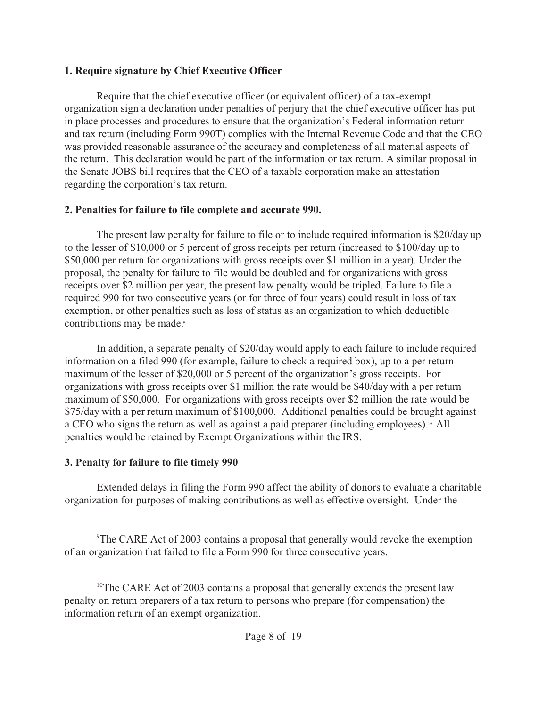#### **1. Require signature by Chief Executive Officer**

Require that the chief executive officer (or equivalent officer) of a tax-exempt organization sign a declaration under penalties of perjury that the chief executive officer has put in place processes and procedures to ensure that the organization's Federal information return and tax return (including Form 990T) complies with the Internal Revenue Code and that the CEO was provided reasonable assurance of the accuracy and completeness of all material aspects of the return. This declaration would be part of the information or tax return. A similar proposal in the Senate JOBS bill requires that the CEO of a taxable corporation make an attestation regarding the corporation's tax return.

### **2. Penalties for failure to file complete and accurate 990.**

The present law penalty for failure to file or to include required information is \$20/day up to the lesser of \$10,000 or 5 percent of gross receipts per return (increased to \$100/day up to \$50,000 per return for organizations with gross receipts over \$1 million in a year). Under the proposal, the penalty for failure to file would be doubled and for organizations with gross receipts over \$2 million per year, the present law penalty would be tripled. Failure to file a required 990 for two consecutive years (or for three of four years) could result in loss of tax exemption, or other penalties such as loss of status as an organization to which deductible contributions may be made.<sup>9</sup>

In addition, a separate penalty of \$20/day would apply to each failure to include required information on a filed 990 (for example, failure to check a required box), up to a per return maximum of the lesser of \$20,000 or 5 percent of the organization's gross receipts. For organizations with gross receipts over \$1 million the rate would be \$40/day with a per return maximum of \$50,000. For organizations with gross receipts over \$2 million the rate would be \$75/day with a per return maximum of \$100,000. Additional penalties could be brought against a CEO who signs the return as well as against a paid preparer (including employees).<sup>10</sup> All penalties would be retained by Exempt Organizations within the IRS.

# **3. Penalty for failure to file timely 990**

Extended delays in filing the Form 990 affect the ability of donors to evaluate a charitable organization for purposes of making contributions as well as effective oversight. Under the

<sup>&</sup>lt;sup>9</sup>The CARE Act of 2003 contains a proposal that generally would revoke the exemption of an organization that failed to file a Form 990 for three consecutive years.

<sup>&</sup>lt;sup>10</sup>The CARE Act of 2003 contains a proposal that generally extends the present law penalty on return preparers of a tax return to persons who prepare (for compensation) the information return of an exempt organization.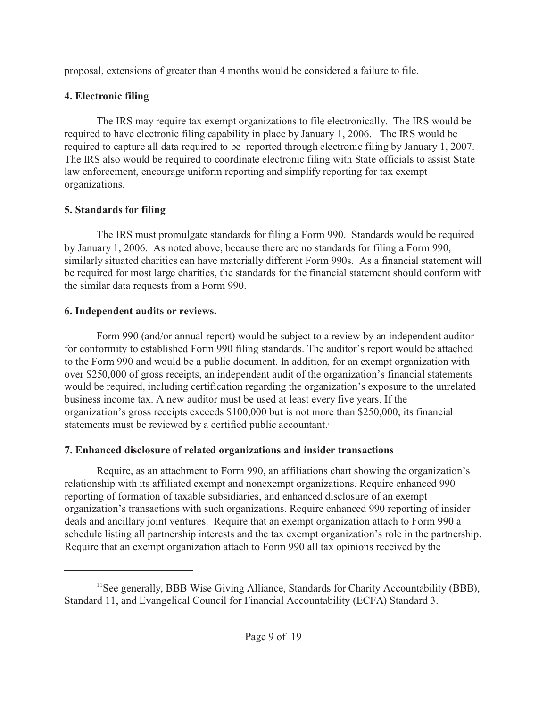proposal, extensions of greater than 4 months would be considered a failure to file.

# **4. Electronic filing**

The IRS may require tax exempt organizations to file electronically. The IRS would be required to have electronic filing capability in place by January 1, 2006. The IRS would be required to capture all data required to be reported through electronic filing by January 1, 2007. The IRS also would be required to coordinate electronic filing with State officials to assist State law enforcement, encourage uniform reporting and simplify reporting for tax exempt organizations.

# **5. Standards for filing**

The IRS must promulgate standards for filing a Form 990. Standards would be required by January 1, 2006. As noted above, because there are no standards for filing a Form 990, similarly situated charities can have materially different Form 990s. As a financial statement will be required for most large charities, the standards for the financial statement should conform with the similar data requests from a Form 990.

# **6. Independent audits or reviews.**

Form 990 (and/or annual report) would be subject to a review by an independent auditor for conformity to established Form 990 filing standards. The auditor's report would be attached to the Form 990 and would be a public document. In addition, for an exempt organization with over \$250,000 of gross receipts, an independent audit of the organization's financial statements would be required, including certification regarding the organization's exposure to the unrelated business income tax. A new auditor must be used at least every five years. If the organization's gross receipts exceeds \$100,000 but is not more than \$250,000, its financial statements must be reviewed by a certified public accountant.<sup>11</sup>

# **7. Enhanced disclosure of related organizations and insider transactions**

Require, as an attachment to Form 990, an affiliations chart showing the organization's relationship with its affiliated exempt and nonexempt organizations. Require enhanced 990 reporting of formation of taxable subsidiaries, and enhanced disclosure of an exempt organization's transactions with such organizations. Require enhanced 990 reporting of insider deals and ancillary joint ventures. Require that an exempt organization attach to Form 990 a schedule listing all partnership interests and the tax exempt organization's role in the partnership. Require that an exempt organization attach to Form 990 all tax opinions received by the

<sup>&</sup>lt;sup>11</sup>See generally, BBB Wise Giving Alliance, Standards for Charity Accountability (BBB), Standard 11, and Evangelical Council for Financial Accountability (ECFA) Standard 3.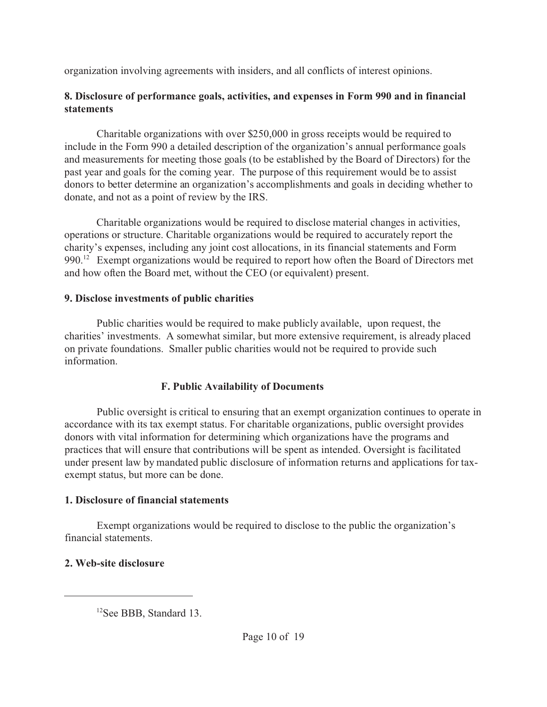organization involving agreements with insiders, and all conflicts of interest opinions.

### **8. Disclosure of performance goals, activities, and expenses in Form 990 and in financial statements**

Charitable organizations with over \$250,000 in gross receipts would be required to include in the Form 990 a detailed description of the organization's annual performance goals and measurements for meeting those goals (to be established by the Board of Directors) for the past year and goals for the coming year. The purpose of this requirement would be to assist donors to better determine an organization's accomplishments and goals in deciding whether to donate, and not as a point of review by the IRS.

Charitable organizations would be required to disclose material changes in activities, operations or structure. Charitable organizations would be required to accurately report the charity's expenses, including any joint cost allocations, in its financial statements and Form 990.<sup>12</sup> Exempt organizations would be required to report how often the Board of Directors met and how often the Board met, without the CEO (or equivalent) present.

### **9. Disclose investments of public charities**

Public charities would be required to make publicly available, upon request, the charities' investments. A somewhat similar, but more extensive requirement, is already placed on private foundations. Smaller public charities would not be required to provide such information.

# **F. Public Availability of Documents**

Public oversight is critical to ensuring that an exempt organization continues to operate in accordance with its tax exempt status. For charitable organizations, public oversight provides donors with vital information for determining which organizations have the programs and practices that will ensure that contributions will be spent as intended. Oversight is facilitated under present law by mandated public disclosure of information returns and applications for taxexempt status, but more can be done.

# **1. Disclosure of financial statements**

Exempt organizations would be required to disclose to the public the organization's financial statements.

# **2. Web-site disclosure**

<sup>&</sup>lt;sup>12</sup>See BBB, Standard 13.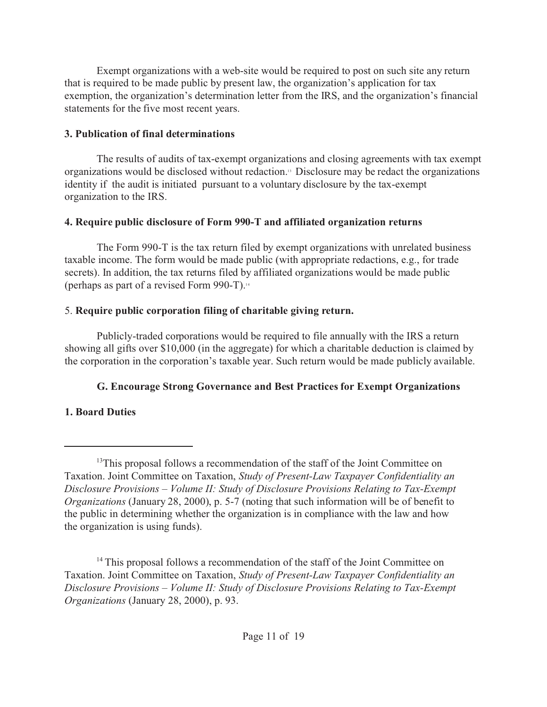Exempt organizations with a web-site would be required to post on such site any return that is required to be made public by present law, the organization's application for tax exemption, the organization's determination letter from the IRS, and the organization's financial statements for the five most recent years.

### **3. Publication of final determinations**

The results of audits of tax-exempt organizations and closing agreements with tax exempt organizations would be disclosed without redaction.13 Disclosure may be redact the organizations identity if the audit is initiated pursuant to a voluntary disclosure by the tax-exempt organization to the IRS.

# **4. Require public disclosure of Form 990-T and affiliated organization returns**

The Form 990-T is the tax return filed by exempt organizations with unrelated business taxable income. The form would be made public (with appropriate redactions, e.g., for trade secrets). In addition, the tax returns filed by affiliated organizations would be made public (perhaps as part of a revised Form 990-T).14

# 5. **Require public corporation filing of charitable giving return.**

Publicly-traded corporations would be required to file annually with the IRS a return showing all gifts over \$10,000 (in the aggregate) for which a charitable deduction is claimed by the corporation in the corporation's taxable year. Such return would be made publicly available.

# **G. Encourage Strong Governance and Best Practices for Exempt Organizations**

# **1. Board Duties**

<sup>&</sup>lt;sup>13</sup>This proposal follows a recommendation of the staff of the Joint Committee on Taxation. Joint Committee on Taxation, *Study of Present-Law Taxpayer Confidentiality an Disclosure Provisions – Volume II: Study of Disclosure Provisions Relating to Tax-Exempt Organizations* (January 28, 2000), p. 5-7 (noting that such information will be of benefit to the public in determining whether the organization is in compliance with the law and how the organization is using funds).

 $14$  This proposal follows a recommendation of the staff of the Joint Committee on Taxation. Joint Committee on Taxation, *Study of Present-Law Taxpayer Confidentiality an Disclosure Provisions – Volume II: Study of Disclosure Provisions Relating to Tax-Exempt Organizations* (January 28, 2000), p. 93.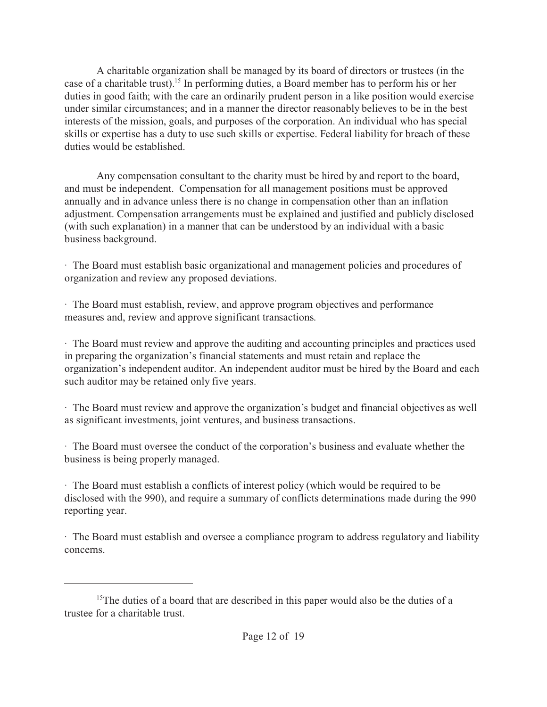A charitable organization shall be managed by its board of directors or trustees (in the case of a charitable trust).15 In performing duties, a Board member has to perform his or her duties in good faith; with the care an ordinarily prudent person in a like position would exercise under similar circumstances; and in a manner the director reasonably believes to be in the best interests of the mission, goals, and purposes of the corporation. An individual who has special skills or expertise has a duty to use such skills or expertise. Federal liability for breach of these duties would be established.

Any compensation consultant to the charity must be hired by and report to the board, and must be independent. Compensation for all management positions must be approved annually and in advance unless there is no change in compensation other than an inflation adjustment. Compensation arrangements must be explained and justified and publicly disclosed (with such explanation) in a manner that can be understood by an individual with a basic business background. -

 The Board must establish basic organizational and management policies and procedures of organization and review any proposed deviations. -

 The Board must establish, review, and approve program objectives and performance measures and, review and approve significant transactions. -

 The Board must review and approve the auditing and accounting principles and practices used in preparing the organization's financial statements and must retain and replace the organization's independent auditor. An independent auditor must be hired by the Board and each such auditor may be retained only five years.

 The Board must review and approve the organization's budget and financial objectives as well Inc Doard must review and approve the organization's budget and<br>as significant investments, joint ventures, and business transactions.

 The Board must oversee the conduct of the corporation's business and evaluate whether the business is being properly managed. -

 The Board must establish a conflicts of interest policy (which would be required to be disclosed with the 990), and require a summary of conflicts determinations made during the 990 reporting year. -

 The Board must establish and oversee a compliance program to address regulatory and liability concerns.

<sup>&</sup>lt;sup>15</sup>The duties of a board that are described in this paper would also be the duties of a trustee for a charitable trust.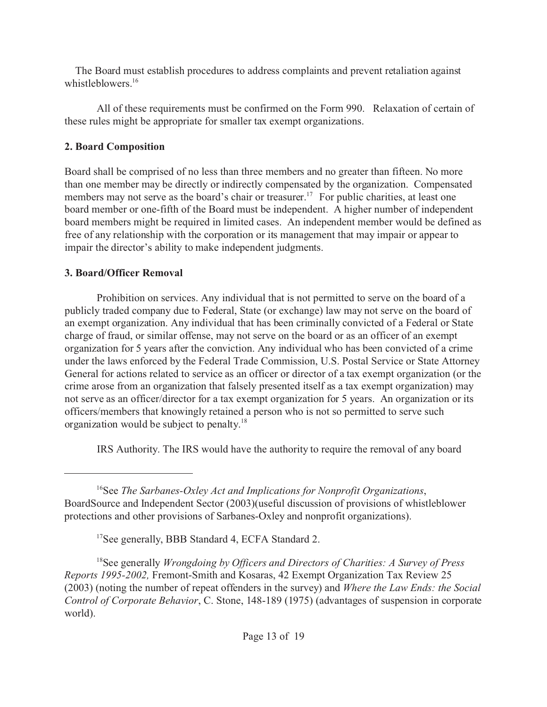The Board must establish procedures to address complaints and prevent retaliation against whistleblowers.<sup>16</sup>

All of these requirements must be confirmed on the Form 990. Relaxation of certain of these rules might be appropriate for smaller tax exempt organizations.

### **2. Board Composition**

Board shall be comprised of no less than three members and no greater than fifteen. No more than one member may be directly or indirectly compensated by the organization. Compensated members may not serve as the board's chair or treasurer.<sup>17</sup> For public charities, at least one board member or one-fifth of the Board must be independent. A higher number of independent board members might be required in limited cases. An independent member would be defined as free of any relationship with the corporation or its management that may impair or appear to impair the director's ability to make independent judgments.

## **3. Board/Officer Removal**

Prohibition on services. Any individual that is not permitted to serve on the board of a publicly traded company due to Federal, State (or exchange) law may not serve on the board of an exempt organization. Any individual that has been criminally convicted of a Federal or State charge of fraud, or similar offense, may not serve on the board or as an officer of an exempt organization for 5 years after the conviction. Any individual who has been convicted of a crime under the laws enforced by the Federal Trade Commission, U.S. Postal Service or State Attorney General for actions related to service as an officer or director of a tax exempt organization (or the crime arose from an organization that falsely presented itself as a tax exempt organization) may not serve as an officer/director for a tax exempt organization for 5 years. An organization or its officers/members that knowingly retained a person who is not so permitted to serve such organization would be subject to penalty.18

IRS Authority. The IRS would have the authority to require the removal of any board

16See *The Sarbanes-Oxley Act and Implications for Nonprofit Organizations*, BoardSource and Independent Sector (2003)(useful discussion of provisions of whistleblower protections and other provisions of Sarbanes-Oxley and nonprofit organizations).

<sup>17</sup>See generally, BBB Standard 4, ECFA Standard 2.

18See generally *Wrongdoing by Officers and Directors of Charities: A Survey of Press Reports 1995-2002,* Fremont-Smith and Kosaras, 42 Exempt Organization Tax Review 25 (2003) (noting the number of repeat offenders in the survey) and *Where the Law Ends: the Social Control of Corporate Behavior*, C. Stone, 148-189 (1975) (advantages of suspension in corporate world).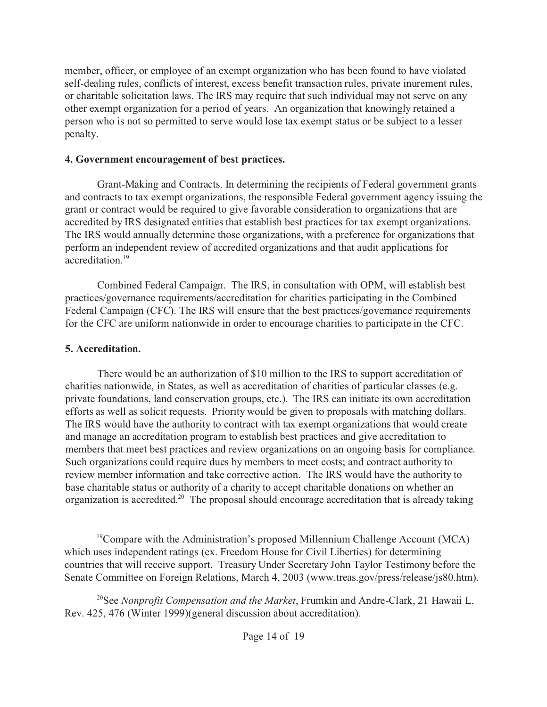member, officer, or employee of an exempt organization who has been found to have violated self-dealing rules, conflicts of interest, excess benefit transaction rules, private inurement rules, or charitable solicitation laws. The IRS may require that such individual may not serve on any other exempt organization for a period of years. An organization that knowingly retained a person who is not so permitted to serve would lose tax exempt status or be subject to a lesser penalty.

#### **4. Government encouragement of best practices.**

Grant-Making and Contracts. In determining the recipients of Federal government grants and contracts to tax exempt organizations, the responsible Federal government agency issuing the grant or contract would be required to give favorable consideration to organizations that are accredited by IRS designated entities that establish best practices for tax exempt organizations. The IRS would annually determine those organizations, with a preference for organizations that perform an independent review of accredited organizations and that audit applications for accreditation.19

Combined Federal Campaign. The IRS, in consultation with OPM, will establish best practices/governance requirements/accreditation for charities participating in the Combined Federal Campaign (CFC). The IRS will ensure that the best practices/governance requirements for the CFC are uniform nationwide in order to encourage charities to participate in the CFC.

### **5. Accreditation.**

There would be an authorization of \$10 million to the IRS to support accreditation of charities nationwide, in States, as well as accreditation of charities of particular classes (e.g. private foundations, land conservation groups, etc.). The IRS can initiate its own accreditation efforts as well as solicit requests. Priority would be given to proposals with matching dollars. The IRS would have the authority to contract with tax exempt organizations that would create and manage an accreditation program to establish best practices and give accreditation to members that meet best practices and review organizations on an ongoing basis for compliance. Such organizations could require dues by members to meet costs; and contract authority to review member information and take corrective action. The IRS would have the authority to base charitable status or authority of a charity to accept charitable donations on whether an organization is accredited.20 The proposal should encourage accreditation that is already taking

<sup>&</sup>lt;sup>19</sup>Compare with the Administration's proposed Millennium Challenge Account (MCA) which uses independent ratings (ex. Freedom House for Civil Liberties) for determining countries that will receive support. Treasury Under Secretary John Taylor Testimony before the Senate Committee on Foreign Relations, March 4, 2003 (www.treas.gov/press/release/js80.htm).

<sup>20</sup>See *Nonprofit Compensation and the Market*, Frumkin and Andre-Clark, 21 Hawaii L. Rev. 425, 476 (Winter 1999)(general discussion about accreditation).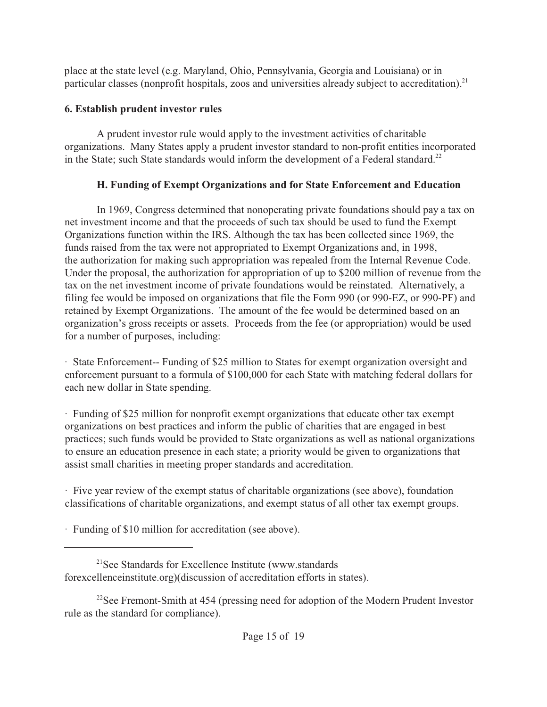place at the state level (e.g. Maryland, Ohio, Pennsylvania, Georgia and Louisiana) or in particular classes (nonprofit hospitals, zoos and universities already subject to accreditation).<sup>21</sup>

### **6. Establish prudent investor rules**

A prudent investor rule would apply to the investment activities of charitable organizations. Many States apply a prudent investor standard to non-profit entities incorporated in the State; such State standards would inform the development of a Federal standard.<sup>22</sup>

# **H. Funding of Exempt Organizations and for State Enforcement and Education**

In 1969, Congress determined that nonoperating private foundations should pay a tax on net investment income and that the proceeds of such tax should be used to fund the Exempt Organizations function within the IRS. Although the tax has been collected since 1969, the funds raised from the tax were not appropriated to Exempt Organizations and, in 1998, the authorization for making such appropriation was repealed from the Internal Revenue Code. Under the proposal, the authorization for appropriation of up to \$200 million of revenue from the tax on the net investment income of private foundations would be reinstated. Alternatively, a filing fee would be imposed on organizations that file the Form 990 (or 990-EZ, or 990-PF) and retained by Exempt Organizations. The amount of the fee would be determined based on an organization's gross receipts or assets. Proceeds from the fee (or appropriation) would be used organization s gross receipts or asset

 State Enforcement-- Funding of \$25 million to States for exempt organization oversight and enforcement pursuant to a formula of \$100,000 for each State with matching federal dollars for each new dollar in State spending.

 Funding of \$25 million for nonprofit exempt organizations that educate other tax exempt organizations on best practices and inform the public of charities that are engaged in best practices; such funds would be provided to State organizations as well as national organizations to ensure an education presence in each state; a priority would be given to organizations that assist small charities in meeting proper standards and accreditation.

 Five year review of the exempt status of charitable organizations (see above), foundation classifications of charitable organizations, and exempt status of all other tax exempt groups. -

Funding of \$10 million for accreditation (see above).

21See Standards for Excellence Institute (www.standards forexcellenceinstitute.org)(discussion of accreditation efforts in states).

<sup>22</sup>See Fremont-Smith at 454 (pressing need for adoption of the Modern Prudent Investor rule as the standard for compliance).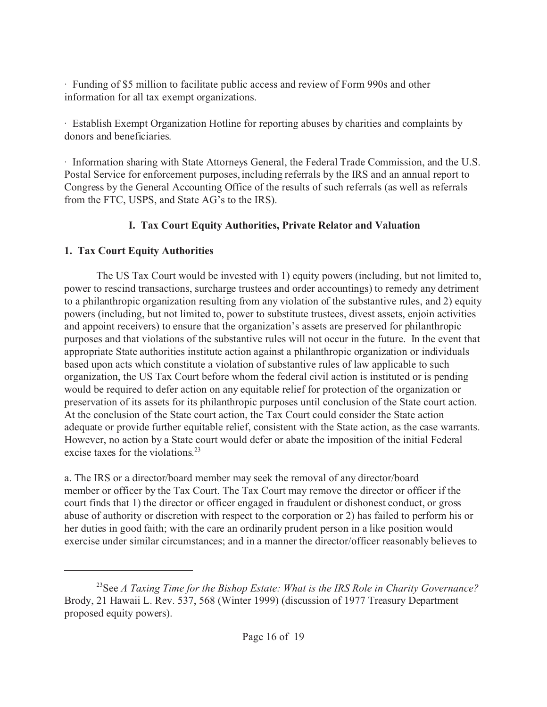Funding of \$5 million to facilitate public access and review of Form 990s and other I did g of 35 million to facturate public as

 Establish Exempt Organization Hotline for reporting abuses by charities and complaints by donors and beneficiaries. -

 Information sharing with State Attorneys General, the Federal Trade Commission, and the U.S. Postal Service for enforcement purposes, including referrals by the IRS and an annual report to Congress by the General Accounting Office of the results of such referrals (as well as referrals from the FTC, USPS, and State AG's to the IRS).

## **I. Tax Court Equity Authorities, Private Relator and Valuation**

### **1. Tax Court Equity Authorities**

The US Tax Court would be invested with 1) equity powers (including, but not limited to, power to rescind transactions, surcharge trustees and order accountings) to remedy any detriment to a philanthropic organization resulting from any violation of the substantive rules, and 2) equity powers (including, but not limited to, power to substitute trustees, divest assets, enjoin activities and appoint receivers) to ensure that the organization's assets are preserved for philanthropic purposes and that violations of the substantive rules will not occur in the future. In the event that appropriate State authorities institute action against a philanthropic organization or individuals based upon acts which constitute a violation of substantive rules of law applicable to such organization, the US Tax Court before whom the federal civil action is instituted or is pending would be required to defer action on any equitable relief for protection of the organization or preservation of its assets for its philanthropic purposes until conclusion of the State court action. At the conclusion of the State court action, the Tax Court could consider the State action adequate or provide further equitable relief, consistent with the State action, as the case warrants. However, no action by a State court would defer or abate the imposition of the initial Federal excise taxes for the violations.<sup>23</sup>

a. The IRS or a director/board member may seek the removal of any director/board member or officer by the Tax Court. The Tax Court may remove the director or officer if the court finds that 1) the director or officer engaged in fraudulent or dishonest conduct, or gross abuse of authority or discretion with respect to the corporation or 2) has failed to perform his or her duties in good faith; with the care an ordinarily prudent person in a like position would exercise under similar circumstances; and in a manner the director/officer reasonably believes to

<sup>23</sup>See *A Taxing Time for the Bishop Estate: What is the IRS Role in Charity Governance?*  Brody, 21 Hawaii L. Rev. 537, 568 (Winter 1999) (discussion of 1977 Treasury Department proposed equity powers).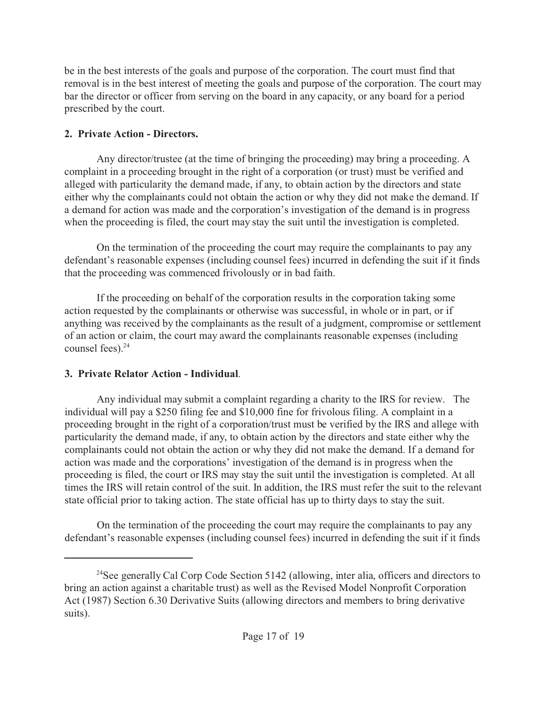be in the best interests of the goals and purpose of the corporation. The court must find that removal is in the best interest of meeting the goals and purpose of the corporation. The court may bar the director or officer from serving on the board in any capacity, or any board for a period prescribed by the court.

## **2. Private Action - Directors.**

Any director/trustee (at the time of bringing the proceeding) may bring a proceeding. A complaint in a proceeding brought in the right of a corporation (or trust) must be verified and alleged with particularity the demand made, if any, to obtain action by the directors and state either why the complainants could not obtain the action or why they did not make the demand. If a demand for action was made and the corporation's investigation of the demand is in progress when the proceeding is filed, the court may stay the suit until the investigation is completed.

On the termination of the proceeding the court may require the complainants to pay any defendant's reasonable expenses (including counsel fees) incurred in defending the suit if it finds that the proceeding was commenced frivolously or in bad faith.

If the proceeding on behalf of the corporation results in the corporation taking some action requested by the complainants or otherwise was successful, in whole or in part, or if anything was received by the complainants as the result of a judgment, compromise or settlement of an action or claim, the court may award the complainants reasonable expenses (including counsel fees).<sup>24</sup>

# **3. Private Relator Action - Individual**.

Any individual may submit a complaint regarding a charity to the IRS for review. The individual will pay a \$250 filing fee and \$10,000 fine for frivolous filing. A complaint in a proceeding brought in the right of a corporation/trust must be verified by the IRS and allege with particularity the demand made, if any, to obtain action by the directors and state either why the complainants could not obtain the action or why they did not make the demand. If a demand for action was made and the corporations' investigation of the demand is in progress when the proceeding is filed, the court or IRS may stay the suit until the investigation is completed. At all times the IRS will retain control of the suit. In addition, the IRS must refer the suit to the relevant state official prior to taking action. The state official has up to thirty days to stay the suit.

On the termination of the proceeding the court may require the complainants to pay any defendant's reasonable expenses (including counsel fees) incurred in defending the suit if it finds

 $^{24}$ See generally Cal Corp Code Section 5142 (allowing, inter alia, officers and directors to bring an action against a charitable trust) as well as the Revised Model Nonprofit Corporation Act (1987) Section 6.30 Derivative Suits (allowing directors and members to bring derivative suits).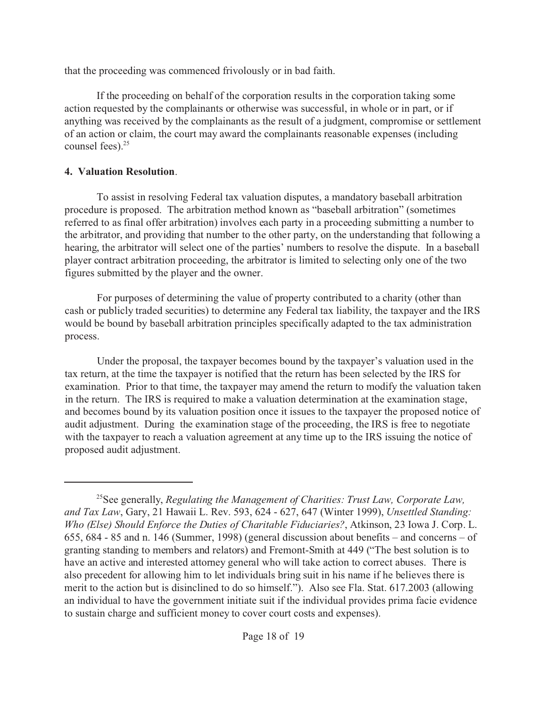that the proceeding was commenced frivolously or in bad faith.

If the proceeding on behalf of the corporation results in the corporation taking some action requested by the complainants or otherwise was successful, in whole or in part, or if anything was received by the complainants as the result of a judgment, compromise or settlement of an action or claim, the court may award the complainants reasonable expenses (including counsel fees).<sup>25</sup>

### **4. Valuation Resolution**.

To assist in resolving Federal tax valuation disputes, a mandatory baseball arbitration procedure is proposed. The arbitration method known as "baseball arbitration" (sometimes referred to as final offer arbitration) involves each party in a proceeding submitting a number to the arbitrator, and providing that number to the other party, on the understanding that following a hearing, the arbitrator will select one of the parties' numbers to resolve the dispute. In a baseball player contract arbitration proceeding, the arbitrator is limited to selecting only one of the two figures submitted by the player and the owner.

For purposes of determining the value of property contributed to a charity (other than cash or publicly traded securities) to determine any Federal tax liability, the taxpayer and the IRS would be bound by baseball arbitration principles specifically adapted to the tax administration process.

Under the proposal, the taxpayer becomes bound by the taxpayer's valuation used in the tax return, at the time the taxpayer is notified that the return has been selected by the IRS for examination. Prior to that time, the taxpayer may amend the return to modify the valuation taken in the return. The IRS is required to make a valuation determination at the examination stage, and becomes bound by its valuation position once it issues to the taxpayer the proposed notice of audit adjustment. During the examination stage of the proceeding, the IRS is free to negotiate with the taxpayer to reach a valuation agreement at any time up to the IRS issuing the notice of proposed audit adjustment.

<sup>25</sup>See generally, *Regulating the Management of Charities: Trust Law, Corporate Law, and Tax Law*, Gary, 21 Hawaii L. Rev. 593, 624 - 627, 647 (Winter 1999), *Unsettled Standing: Who (Else) Should Enforce the Duties of Charitable Fiduciaries?*, Atkinson, 23 Iowa J. Corp. L. 655, 684 - 85 and n. 146 (Summer, 1998) (general discussion about benefits – and concerns – of granting standing to members and relators) and Fremont-Smith at 449 ("The best solution is to have an active and interested attorney general who will take action to correct abuses. There is also precedent for allowing him to let individuals bring suit in his name if he believes there is merit to the action but is disinclined to do so himself."). Also see Fla. Stat. 617.2003 (allowing an individual to have the government initiate suit if the individual provides prima facie evidence to sustain charge and sufficient money to cover court costs and expenses).